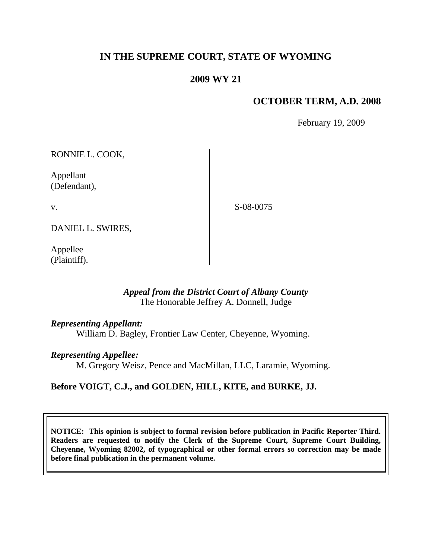# **IN THE SUPREME COURT, STATE OF WYOMING**

# **2009 WY 21**

## **OCTOBER TERM, A.D. 2008**

February 19, 2009

RONNIE L. COOK,

Appellant (Defendant),

v.

S-08-0075

DANIEL L. SWIRES,

Appellee (Plaintiff).

#### *Appeal from the District Court of Albany County* The Honorable Jeffrey A. Donnell, Judge

#### *Representing Appellant:*

William D. Bagley, Frontier Law Center, Cheyenne, Wyoming.

#### *Representing Appellee:*

M. Gregory Weisz, Pence and MacMillan, LLC, Laramie, Wyoming.

## **Before VOIGT, C.J., and GOLDEN, HILL, KITE, and BURKE, JJ.**

**NOTICE: This opinion is subject to formal revision before publication in Pacific Reporter Third. Readers are requested to notify the Clerk of the Supreme Court, Supreme Court Building, Cheyenne, Wyoming 82002, of typographical or other formal errors so correction may be made before final publication in the permanent volume.**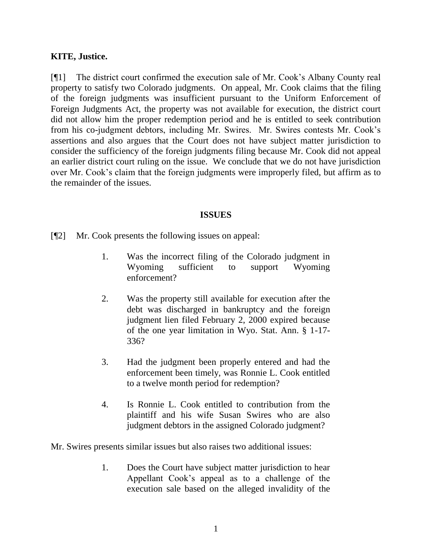### **KITE, Justice.**

[¶1] The district court confirmed the execution sale of Mr. Cook's Albany County real property to satisfy two Colorado judgments. On appeal, Mr. Cook claims that the filing of the foreign judgments was insufficient pursuant to the Uniform Enforcement of Foreign Judgments Act, the property was not available for execution, the district court did not allow him the proper redemption period and he is entitled to seek contribution from his co-judgment debtors, including Mr. Swires. Mr. Swires contests Mr. Cook's assertions and also argues that the Court does not have subject matter jurisdiction to consider the sufficiency of the foreign judgments filing because Mr. Cook did not appeal an earlier district court ruling on the issue. We conclude that we do not have jurisdiction over Mr. Cook's claim that the foreign judgments were improperly filed, but affirm as to the remainder of the issues.

#### **ISSUES**

[¶2] Mr. Cook presents the following issues on appeal:

- 1. Was the incorrect filing of the Colorado judgment in Wyoming sufficient to support Wyoming enforcement?
- 2. Was the property still available for execution after the debt was discharged in bankruptcy and the foreign judgment lien filed February 2, 2000 expired because of the one year limitation in Wyo. Stat. Ann. § 1-17- 336?
- 3. Had the judgment been properly entered and had the enforcement been timely, was Ronnie L. Cook entitled to a twelve month period for redemption?
- 4. Is Ronnie L. Cook entitled to contribution from the plaintiff and his wife Susan Swires who are also judgment debtors in the assigned Colorado judgment?

Mr. Swires presents similar issues but also raises two additional issues:

1. Does the Court have subject matter jurisdiction to hear Appellant Cook's appeal as to a challenge of the execution sale based on the alleged invalidity of the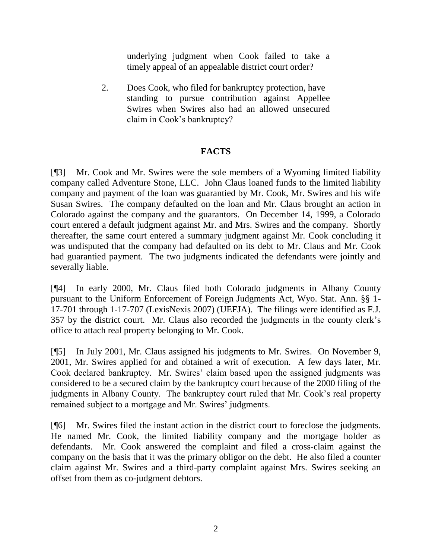underlying judgment when Cook failed to take a timely appeal of an appealable district court order?

2. Does Cook, who filed for bankruptcy protection, have standing to pursue contribution against Appellee Swires when Swires also had an allowed unsecured claim in Cook's bankruptcy?

## **FACTS**

[¶3] Mr. Cook and Mr. Swires were the sole members of a Wyoming limited liability company called Adventure Stone, LLC. John Claus loaned funds to the limited liability company and payment of the loan was guarantied by Mr. Cook, Mr. Swires and his wife Susan Swires. The company defaulted on the loan and Mr. Claus brought an action in Colorado against the company and the guarantors. On December 14, 1999, a Colorado court entered a default judgment against Mr. and Mrs. Swires and the company. Shortly thereafter, the same court entered a summary judgment against Mr. Cook concluding it was undisputed that the company had defaulted on its debt to Mr. Claus and Mr. Cook had guarantied payment. The two judgments indicated the defendants were jointly and severally liable.

[¶4] In early 2000, Mr. Claus filed both Colorado judgments in Albany County pursuant to the Uniform Enforcement of Foreign Judgments Act, Wyo. Stat. Ann. §§ 1- 17-701 through 1-17-707 (LexisNexis 2007) (UEFJA). The filings were identified as F.J. 357 by the district court. Mr. Claus also recorded the judgments in the county clerk's office to attach real property belonging to Mr. Cook.

[¶5] In July 2001, Mr. Claus assigned his judgments to Mr. Swires. On November 9, 2001, Mr. Swires applied for and obtained a writ of execution. A few days later, Mr. Cook declared bankruptcy. Mr. Swires' claim based upon the assigned judgments was considered to be a secured claim by the bankruptcy court because of the 2000 filing of the judgments in Albany County. The bankruptcy court ruled that Mr. Cook's real property remained subject to a mortgage and Mr. Swires' judgments.

[¶6] Mr. Swires filed the instant action in the district court to foreclose the judgments. He named Mr. Cook, the limited liability company and the mortgage holder as defendants. Mr. Cook answered the complaint and filed a cross-claim against the company on the basis that it was the primary obligor on the debt. He also filed a counter claim against Mr. Swires and a third-party complaint against Mrs. Swires seeking an offset from them as co-judgment debtors.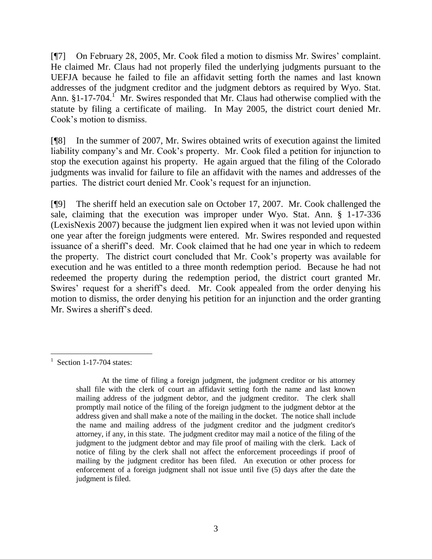[¶7] On February 28, 2005, Mr. Cook filed a motion to dismiss Mr. Swires' complaint. He claimed Mr. Claus had not properly filed the underlying judgments pursuant to the UEFJA because he failed to file an affidavit setting forth the names and last known addresses of the judgment creditor and the judgment debtors as required by Wyo. Stat. Ann.  $§1-17-704$ <sup>1</sup> Mr. Swires responded that Mr. Claus had otherwise complied with the statute by filing a certificate of mailing. In May 2005, the district court denied Mr. Cook's motion to dismiss.

[¶8] In the summer of 2007, Mr. Swires obtained writs of execution against the limited liability company's and Mr. Cook's property. Mr. Cook filed a petition for injunction to stop the execution against his property. He again argued that the filing of the Colorado judgments was invalid for failure to file an affidavit with the names and addresses of the parties. The district court denied Mr. Cook's request for an injunction.

[¶9] The sheriff held an execution sale on October 17, 2007. Mr. Cook challenged the sale, claiming that the execution was improper under Wyo. Stat. Ann. § 1-17-336 (LexisNexis 2007) because the judgment lien expired when it was not levied upon within one year after the foreign judgments were entered. Mr. Swires responded and requested issuance of a sheriff's deed. Mr. Cook claimed that he had one year in which to redeem the property. The district court concluded that Mr. Cook's property was available for execution and he was entitled to a three month redemption period. Because he had not redeemed the property during the redemption period, the district court granted Mr. Swires' request for a sheriff's deed. Mr. Cook appealed from the order denying his motion to dismiss, the order denying his petition for an injunction and the order granting Mr. Swires a sheriff's deed.

 $\overline{a}$ 

<sup>1</sup> Section 1-17-704 states:

At the time of filing a foreign judgment, the judgment creditor or his attorney shall file with the clerk of court an affidavit setting forth the name and last known mailing address of the judgment debtor, and the judgment creditor. The clerk shall promptly mail notice of the filing of the foreign judgment to the judgment debtor at the address given and shall make a note of the mailing in the docket. The notice shall include the name and mailing address of the judgment creditor and the judgment creditor's attorney, if any, in this state. The judgment creditor may mail a notice of the filing of the judgment to the judgment debtor and may file proof of mailing with the clerk. Lack of notice of filing by the clerk shall not affect the enforcement proceedings if proof of mailing by the judgment creditor has been filed. An execution or other process for enforcement of a foreign judgment shall not issue until five (5) days after the date the judgment is filed.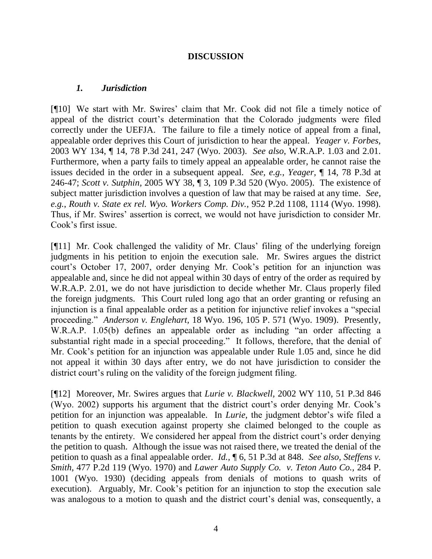## **DISCUSSION**

### *1. Jurisdiction*

[¶10] We start with Mr. Swires' claim that Mr. Cook did not file a timely notice of appeal of the district court's determination that the Colorado judgments were filed correctly under the UEFJA. The failure to file a timely notice of appeal from a final, appealable order deprives this Court of jurisdiction to hear the appeal. *Yeager v. Forbes,*  2003 WY 134, ¶ 14, 78 P.3d 241, 247 (Wyo. 2003). *See also*, W.R.A.P. 1.03 and 2.01. Furthermore, when a party fails to timely appeal an appealable order, he cannot raise the issues decided in the order in a subsequent appeal. *See, e.g.*, *Yeager,* ¶ 14, 78 P.3d at 246-47; *Scott v. Sutphin,* 2005 WY 38, ¶ 3, 109 P.3d 520 (Wyo. 2005). The existence of subject matter jurisdiction involves a question of law that may be raised at any time. *See, e.g.*, *Routh v. State ex rel. Wyo. Workers Comp. Div.,* 952 P.2d 1108, 1114 (Wyo. 1998). Thus, if Mr. Swires' assertion is correct, we would not have jurisdiction to consider Mr. Cook's first issue.

[¶11] Mr. Cook challenged the validity of Mr. Claus' filing of the underlying foreign judgments in his petition to enjoin the execution sale. Mr. Swires argues the district court's October 17, 2007, order denying Mr. Cook's petition for an injunction was appealable and, since he did not appeal within 30 days of entry of the order as required by W.R.A.P. 2.01, we do not have jurisdiction to decide whether Mr. Claus properly filed the foreign judgments. This Court ruled long ago that an order granting or refusing an injunction is a final appealable order as a petition for injunctive relief invokes a "special proceeding." *Anderson v. Englehart,* 18 Wyo. 196, 105 P. 571 (Wyo. 1909). Presently, W.R.A.P. 1.05(b) defines an appealable order as including "an order affecting a substantial right made in a special proceeding." It follows, therefore, that the denial of Mr. Cook's petition for an injunction was appealable under Rule 1.05 and, since he did not appeal it within 30 days after entry, we do not have jurisdiction to consider the district court's ruling on the validity of the foreign judgment filing.

[¶12] Moreover, Mr. Swires argues that *Lurie v. Blackwell,* 2002 WY 110, 51 P.3d 846 (Wyo. 2002) supports his argument that the district court's order denying Mr. Cook's petition for an injunction was appealable. In *Lurie,* the judgment debtor's wife filed a petition to quash execution against property she claimed belonged to the couple as tenants by the entirety. We considered her appeal from the district court's order denying the petition to quash. Although the issue was not raised there, we treated the denial of the petition to quash as a final appealable order. *Id.,* ¶ 6, 51 P.3d at 848. *See also*, *Steffens v. Smith,* 477 P.2d 119 (Wyo. 1970) and *Lawer Auto Supply Co. v. Teton Auto Co.,* 284 P. 1001 (Wyo. 1930) (deciding appeals from denials of motions to quash writs of execution). Arguably, Mr. Cook's petition for an injunction to stop the execution sale was analogous to a motion to quash and the district court's denial was, consequently, a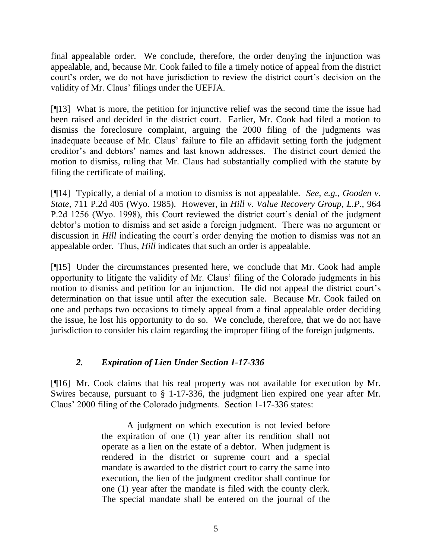final appealable order. We conclude, therefore, the order denying the injunction was appealable, and, because Mr. Cook failed to file a timely notice of appeal from the district court's order, we do not have jurisdiction to review the district court's decision on the validity of Mr. Claus' filings under the UEFJA.

[¶13] What is more, the petition for injunctive relief was the second time the issue had been raised and decided in the district court. Earlier, Mr. Cook had filed a motion to dismiss the foreclosure complaint, arguing the 2000 filing of the judgments was inadequate because of Mr. Claus' failure to file an affidavit setting forth the judgment creditor's and debtors' names and last known addresses. The district court denied the motion to dismiss, ruling that Mr. Claus had substantially complied with the statute by filing the certificate of mailing.

[¶14] Typically, a denial of a motion to dismiss is not appealable. *See, e.g.*, *Gooden v. State,* 711 P.2d 405 (Wyo. 1985). However, in *Hill v. Value Recovery Group, L.P.,* 964 P.2d 1256 (Wyo. 1998), this Court reviewed the district court's denial of the judgment debtor's motion to dismiss and set aside a foreign judgment. There was no argument or discussion in *Hill* indicating the court's order denying the motion to dismiss was not an appealable order. Thus, *Hill* indicates that such an order is appealable.

[¶15] Under the circumstances presented here, we conclude that Mr. Cook had ample opportunity to litigate the validity of Mr. Claus' filing of the Colorado judgments in his motion to dismiss and petition for an injunction. He did not appeal the district court's determination on that issue until after the execution sale. Because Mr. Cook failed on one and perhaps two occasions to timely appeal from a final appealable order deciding the issue, he lost his opportunity to do so. We conclude, therefore, that we do not have jurisdiction to consider his claim regarding the improper filing of the foreign judgments.

# *2. Expiration of Lien Under Section 1-17-336*

[¶16] Mr. Cook claims that his real property was not available for execution by Mr. Swires because, pursuant to § 1-17-336, the judgment lien expired one year after Mr. Claus' 2000 filing of the Colorado judgments. Section 1-17-336 states:

> A judgment on which execution is not levied before the expiration of one (1) year after its rendition shall not operate as a lien on the estate of a debtor. When judgment is rendered in the district or supreme court and a special mandate is awarded to the district court to carry the same into execution, the lien of the judgment creditor shall continue for one (1) year after the mandate is filed with the county clerk. The special mandate shall be entered on the journal of the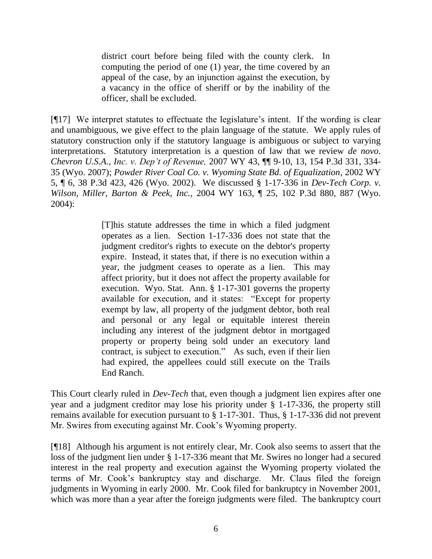district court before being filed with the county clerk. In computing the period of one (1) year, the time covered by an appeal of the case, by an injunction against the execution, by a vacancy in the office of sheriff or by the inability of the officer, shall be excluded.

[¶17] We interpret statutes to effectuate the legislature's intent. If the wording is clear and unambiguous, we give effect to the plain language of the statute. We apply rules of statutory construction only if the statutory language is ambiguous or subject to varying interpretations. Statutory interpretation is a question of law that we review *de novo*. *Chevron U.S.A., Inc. v. Dep't of Revenue,* 2007 WY 43, ¶¶ 9-10, 13, 154 P.3d 331, 334- 35 (Wyo. 2007); *Powder River Coal Co. v. Wyoming State Bd. of Equalization*, 2002 WY 5, ¶ 6, 38 P.3d 423, 426 (Wyo. 2002). We discussed § 1-17-336 in *Dev-Tech Corp. v. Wilson, Miller, Barton & Peek, Inc.,* 2004 WY 163, ¶ 25, 102 P.3d 880, 887 (Wyo. 2004):

> [T]his statute addresses the time in which a filed judgment operates as a lien. Section 1-17-336 does not state that the judgment creditor's rights to execute on the debtor's property expire. Instead, it states that, if there is no execution within a year, the judgment ceases to operate as a lien. This may affect priority, but it does not affect the property available for execution. Wyo. Stat. Ann. § 1-17-301 governs the property available for execution, and it states: "Except for property exempt by law, all property of the judgment debtor, both real and personal or any legal or equitable interest therein including any interest of the judgment debtor in mortgaged property or property being sold under an executory land contract, is subject to execution." As such, even if their lien had expired, the appellees could still execute on the Trails End Ranch.

This Court clearly ruled in *Dev-Tech* that, even though a judgment lien expires after one year and a judgment creditor may lose his priority under § 1-17-336, the property still remains available for execution pursuant to § 1-17-301. Thus, § 1-17-336 did not prevent Mr. Swires from executing against Mr. Cook's Wyoming property.

[¶18] Although his argument is not entirely clear, Mr. Cook also seems to assert that the loss of the judgment lien under § 1-17-336 meant that Mr. Swires no longer had a secured interest in the real property and execution against the Wyoming property violated the terms of Mr. Cook's bankruptcy stay and discharge. Mr. Claus filed the foreign judgments in Wyoming in early 2000. Mr. Cook filed for bankruptcy in November 2001, which was more than a year after the foreign judgments were filed. The bankruptcy court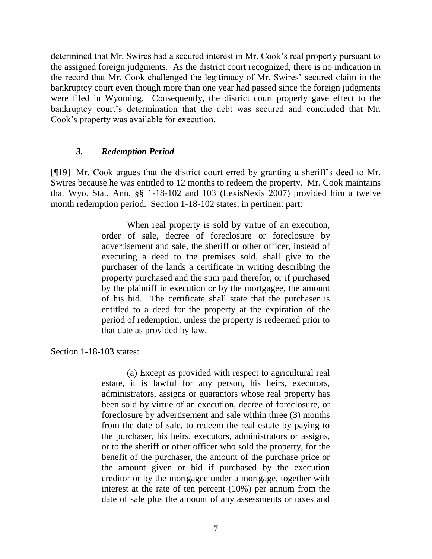determined that Mr. Swires had a secured interest in Mr. Cook's real property pursuant to the assigned foreign judgments. As the district court recognized, there is no indication in the record that Mr. Cook challenged the legitimacy of Mr. Swires' secured claim in the bankruptcy court even though more than one year had passed since the foreign judgments were filed in Wyoming. Consequently, the district court properly gave effect to the bankruptcy court's determination that the debt was secured and concluded that Mr. Cook's property was available for execution.

### *3. Redemption Period*

[¶19] Mr. Cook argues that the district court erred by granting a sheriff's deed to Mr. Swires because he was entitled to 12 months to redeem the property. Mr. Cook maintains that Wyo. Stat. Ann. §§ 1-18-102 and 103 (LexisNexis 2007) provided him a twelve month redemption period. Section 1-18-102 states, in pertinent part:

> When real property is sold by virtue of an execution, order of sale, decree of foreclosure or foreclosure by advertisement and sale, the sheriff or other officer, instead of executing a deed to the premises sold, shall give to the purchaser of the lands a certificate in writing describing the property purchased and the sum paid therefor, or if purchased by the plaintiff in execution or by the mortgagee, the amount of his bid. The certificate shall state that the purchaser is entitled to a deed for the property at the expiration of the period of redemption, unless the property is redeemed prior to that date as provided by law.

Section 1-18-103 states:

(a) Except as provided with respect to agricultural real estate, it is lawful for any person, his heirs, executors, administrators, assigns or guarantors whose real property has been sold by virtue of an execution, decree of foreclosure, or foreclosure by advertisement and sale within three (3) months from the date of sale, to redeem the real estate by paying to the purchaser, his heirs, executors, administrators or assigns, or to the sheriff or other officer who sold the property, for the benefit of the purchaser, the amount of the purchase price or the amount given or bid if purchased by the execution creditor or by the mortgagee under a mortgage, together with interest at the rate of ten percent (10%) per annum from the date of sale plus the amount of any assessments or taxes and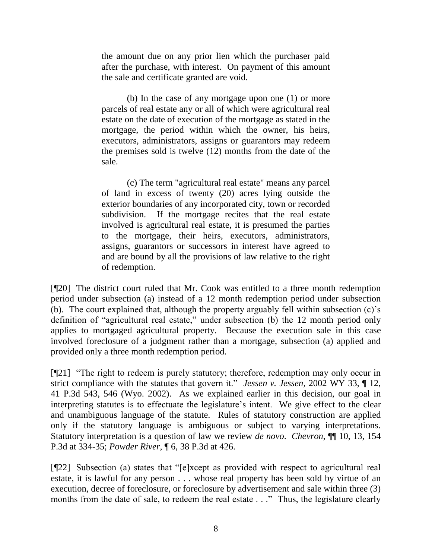the amount due on any prior lien which the purchaser paid after the purchase, with interest. On payment of this amount the sale and certificate granted are void.

(b) In the case of any mortgage upon one (1) or more parcels of real estate any or all of which were agricultural real estate on the date of execution of the mortgage as stated in the mortgage, the period within which the owner, his heirs, executors, administrators, assigns or guarantors may redeem the premises sold is twelve (12) months from the date of the sale.

(c) The term "agricultural real estate" means any parcel of land in excess of twenty (20) acres lying outside the exterior boundaries of any incorporated city, town or recorded subdivision. If the mortgage recites that the real estate involved is agricultural real estate, it is presumed the parties to the mortgage, their heirs, executors, administrators, assigns, guarantors or successors in interest have agreed to and are bound by all the provisions of law relative to the right of redemption.

[¶20] The district court ruled that Mr. Cook was entitled to a three month redemption period under subsection (a) instead of a 12 month redemption period under subsection (b). The court explained that, although the property arguably fell within subsection (c)'s definition of "agricultural real estate," under subsection (b) the 12 month period only applies to mortgaged agricultural property. Because the execution sale in this case involved foreclosure of a judgment rather than a mortgage, subsection (a) applied and provided only a three month redemption period.

[¶21] "The right to redeem is purely statutory; therefore, redemption may only occur in strict compliance with the statutes that govern it." *Jessen v. Jessen,* 2002 WY 33, ¶ 12, 41 P.3d 543, 546 (Wyo. 2002). As we explained earlier in this decision, our goal in interpreting statutes is to effectuate the legislature's intent. We give effect to the clear and unambiguous language of the statute. Rules of statutory construction are applied only if the statutory language is ambiguous or subject to varying interpretations. Statutory interpretation is a question of law we review *de novo*. *Chevron,* ¶¶ 10, 13, 154 P.3d at 334-35; *Powder River*, ¶ 6, 38 P.3d at 426.

[¶22] Subsection (a) states that "[e]xcept as provided with respect to agricultural real estate, it is lawful for any person . . . whose real property has been sold by virtue of an execution, decree of foreclosure, or foreclosure by advertisement and sale within three (3) months from the date of sale, to redeem the real estate . . ." Thus, the legislature clearly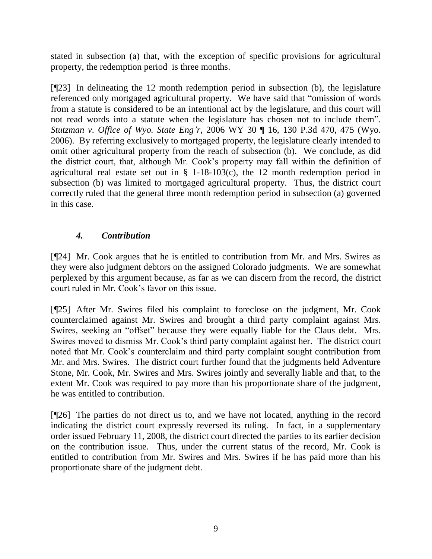stated in subsection (a) that, with the exception of specific provisions for agricultural property, the redemption period is three months.

[¶23] In delineating the 12 month redemption period in subsection (b), the legislature referenced only mortgaged agricultural property. We have said that "omission of words from a statute is considered to be an intentional act by the legislature, and this court will not read words into a statute when the legislature has chosen not to include them". *Stutzman v. Office of Wyo. State Eng'r,* 2006 WY 30 ¶ 16, 130 P.3d 470, 475 (Wyo. 2006). By referring exclusively to mortgaged property, the legislature clearly intended to omit other agricultural property from the reach of subsection (b). We conclude, as did the district court, that, although Mr. Cook's property may fall within the definition of agricultural real estate set out in  $\S$  1-18-103(c), the 12 month redemption period in subsection (b) was limited to mortgaged agricultural property. Thus, the district court correctly ruled that the general three month redemption period in subsection (a) governed in this case.

# *4. Contribution*

[¶24] Mr. Cook argues that he is entitled to contribution from Mr. and Mrs. Swires as they were also judgment debtors on the assigned Colorado judgments. We are somewhat perplexed by this argument because, as far as we can discern from the record, the district court ruled in Mr. Cook's favor on this issue.

[¶25] After Mr. Swires filed his complaint to foreclose on the judgment, Mr. Cook counterclaimed against Mr. Swires and brought a third party complaint against Mrs. Swires, seeking an "offset" because they were equally liable for the Claus debt. Mrs. Swires moved to dismiss Mr. Cook's third party complaint against her. The district court noted that Mr. Cook's counterclaim and third party complaint sought contribution from Mr. and Mrs. Swires. The district court further found that the judgments held Adventure Stone, Mr. Cook, Mr. Swires and Mrs. Swires jointly and severally liable and that, to the extent Mr. Cook was required to pay more than his proportionate share of the judgment, he was entitled to contribution.

[¶26] The parties do not direct us to, and we have not located, anything in the record indicating the district court expressly reversed its ruling. In fact, in a supplementary order issued February 11, 2008, the district court directed the parties to its earlier decision on the contribution issue. Thus, under the current status of the record, Mr. Cook is entitled to contribution from Mr. Swires and Mrs. Swires if he has paid more than his proportionate share of the judgment debt.